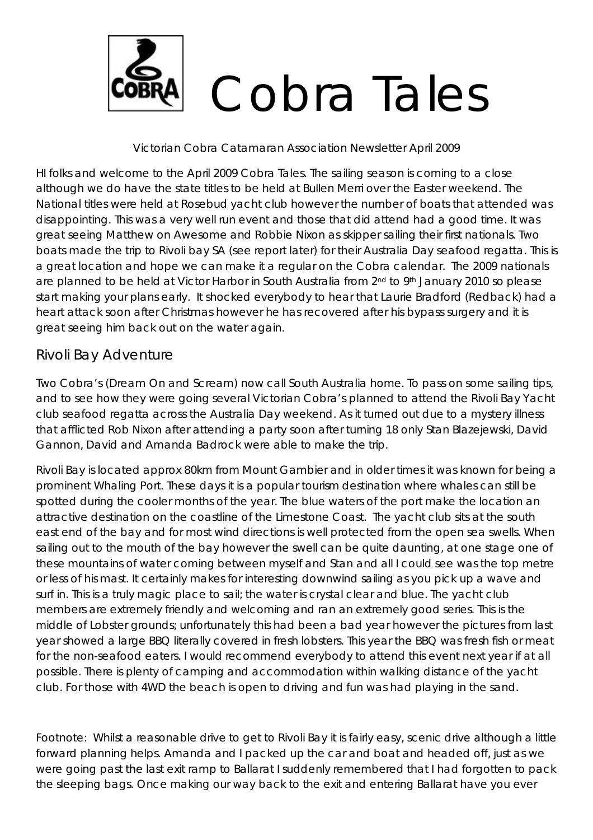

### Victorian Cobra Catamaran Association Newsletter April 2009

HI folks and welcome to the April 2009 Cobra Tales. The sailing season is coming to a close although we do have the state titles to be held at Bullen Merri over the Easter weekend. The National titles were held at Rosebud yacht club however the number of boats that attended was disappointing. This was a very well run event and those that did attend had a good time. It was great seeing Matthew on Awesome and Robbie Nixon as skipper sailing their first nationals. Two boats made the trip to Rivoli bay SA (see report later) for their Australia Day seafood regatta. This is a great location and hope we can make it a regular on the Cobra calendar. The 2009 nationals are planned to be held at Victor Harbor in South Australia from 2<sup>nd</sup> to 9<sup>th</sup> January 2010 so please start making your plans early. It shocked everybody to hear that Laurie Bradford (Redback) had a heart attack soon after Christmas however he has recovered after his bypass surgery and it is great seeing him back out on the water again.

### Rivoli Bay Adventure

Two Cobra's (Dream On and Scream) now call South Australia home. To pass on some sailing tips, and to see how they were going several Victorian Cobra's planned to attend the Rivoli Bay Yacht club seafood regatta across the Australia Day weekend. As it turned out due to a mystery illness that afflicted Rob Nixon after attending a party soon after turning 18 only Stan Blazejewski, David Gannon, David and Amanda Badrock were able to make the trip.

Rivoli Bay is located approx 80km from Mount Gambier and in older times it was known for being a prominent Whaling Port. These days it is a popular tourism destination where whales can still be spotted during the cooler months of the year. The blue waters of the port make the location an attractive destination on the coastline of the Limestone Coast. The yacht club sits at the south east end of the bay and for most wind directions is well protected from the open sea swells. When sailing out to the mouth of the bay however the swell can be quite daunting, at one stage one of these mountains of water coming between myself and Stan and all I could see was the top metre or less of his mast. It certainly makes for interesting downwind sailing as you pick up a wave and surf in. This is a truly magic place to sail; the water is crystal clear and blue. The yacht club members are extremely friendly and welcoming and ran an extremely good series. This is the middle of Lobster grounds; unfortunately this had been a bad year however the pictures from last year showed a large BBQ literally covered in fresh lobsters. This year the BBQ was fresh fish or meat for the non-seafood eaters. I would recommend everybody to attend this event next year if at all possible. There is plenty of camping and accommodation within walking distance of the yacht club. For those with 4WD the beach is open to driving and fun was had playing in the sand.

Footnote: Whilst a reasonable drive to get to Rivoli Bay it is fairly easy, scenic drive although a little forward planning helps. Amanda and I packed up the car and boat and headed off, just as we were going past the last exit ramp to Ballarat I suddenly remembered that I had forgotten to pack the sleeping bags. Once making our way back to the exit and entering Ballarat have you ever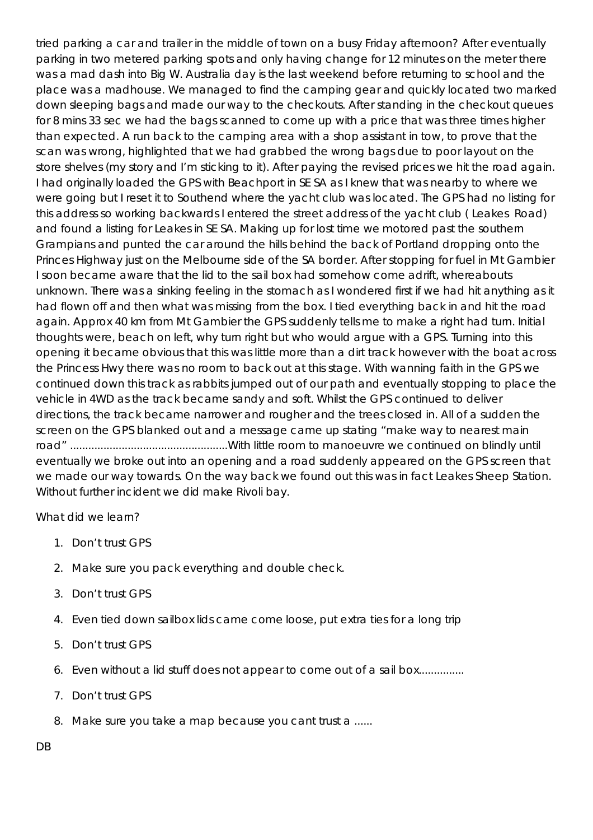tried parking a car and trailer in the middle of town on a busy Friday afternoon? After eventually parking in two metered parking spots and only having change for 12 minutes on the meter there was a mad dash into Big W. Australia day is the last weekend before returning to school and the place was a madhouse. We managed to find the camping gear and quickly located two marked down sleeping bags and made our way to the checkouts. After standing in the checkout queues for 8 mins 33 sec we had the bags scanned to come up with a price that was three times higher than expected. A run back to the camping area with a shop assistant in tow, to prove that the scan was wrong, highlighted that we had grabbed the wrong bags due to poor layout on the store shelves (my story and I'm sticking to it). After paying the revised prices we hit the road again. I had originally loaded the GPS with Beachport in SE SA as I knew that was nearby to where we were going but I reset it to Southend where the yacht club was located. The GPS had no listing for this address so working backwards I entered the street address of the yacht club ( Leakes Road) and found a listing for Leakes in SE SA. Making up for lost time we motored past the southern Grampians and punted the car around the hills behind the back of Portland dropping onto the Princes Highway just on the Melbourne side of the SA border. After stopping for fuel in Mt Gambier I soon became aware that the lid to the sail box had somehow come adrift, whereabouts unknown. There was a sinking feeling in the stomach as I wondered first if we had hit anything as it had flown off and then what was missing from the box. I tied everything back in and hit the road again. Approx 40 km from Mt Gambier the GPS suddenly tells me to make a right had turn. Initial thoughts were, beach on left, why turn right but who would argue with a GPS. Turning into this opening it became obvious that this was little more than a dirt track however with the boat across the Princess Hwy there was no room to back out at this stage. With wanning faith in the GPS we continued down this track as rabbits jumped out of our path and eventually stopping to place the vehicle in 4WD as the track became sandy and soft. Whilst the GPS continued to deliver directions, the track became narrower and rougher and the trees closed in. All of a sudden the screen on the GPS blanked out and a message came up stating "make way to nearest main road" ....................................................With little room to manoeuvre we continued on blindly until eventually we broke out into an opening and a road suddenly appeared on the GPS screen that we made our way towards. On the way back we found out this was in fact Leakes Sheep Station. Without further incident we did make Rivoli bay.

### What did we learn?

- 1. Don't trust GPS
- 2. Make sure you pack everything and double check.
- 3. Don't trust GPS
- 4. Even tied down sailbox lids came come loose, put extra ties for a long trip
- 5. Don't trust GPS
- 6. Even without a lid stuff does not appear to come out of a sail box...............
- 7. Don't trust GPS
- 8. Make sure you take a map because you cant trust a ......